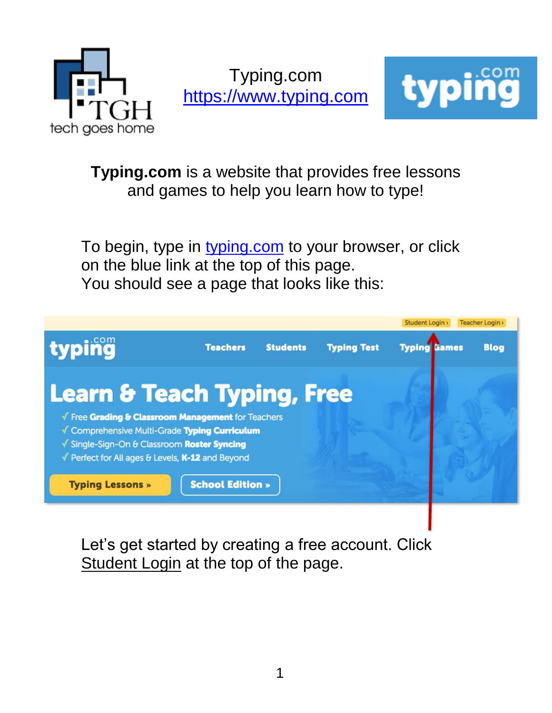



**Typing.com** is a website that provides free lessons and games to help you learn how to type!

To begin, type in [typing.com](http://www.typing.com/) to your browser, or click on the blue link at the top of this page. You should see a page that looks like this:



Let's get started by creating a free account. Click Student Login at the top of the page.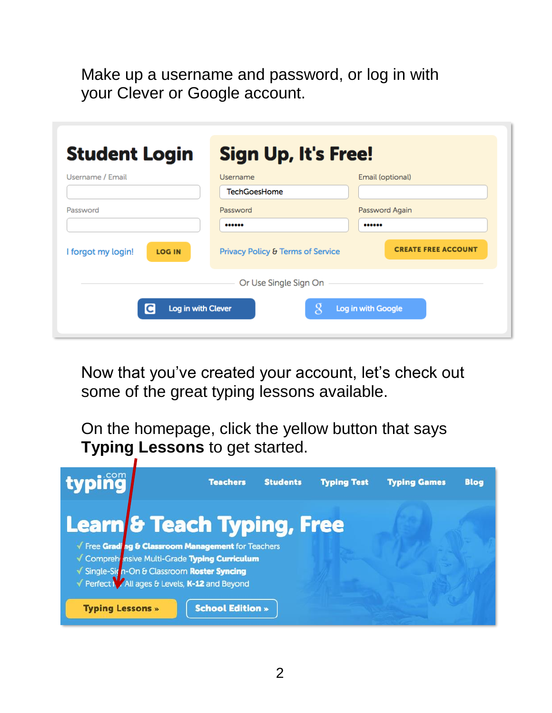Make up a username and password, or log in with your Clever or Google account.

| <b>Student Login</b>                            | <b>Sign Up, It's Free!</b>                        |                                                  |  |  |  |  |  |  |
|-------------------------------------------------|---------------------------------------------------|--------------------------------------------------|--|--|--|--|--|--|
| Username / Email                                | Username<br><b>TechGoesHome</b>                   | Email (optional)                                 |  |  |  |  |  |  |
| Password<br>I forgot my login!<br><b>LOG IN</b> | Password<br><br>Privacy Policy & Terms of Service | Password Again<br><br><b>CREATE FREE ACCOUNT</b> |  |  |  |  |  |  |
| Log in with Clever                              | Or Use Single Sign On                             | Log in with Google                               |  |  |  |  |  |  |

Now that you've created your account, let's check out some of the great typing lessons available.

On the homepage, click the yellow button that says **Typing Lessons** to get started.

| typing                  |                                                                                                                                                                                              | <b>Teachers</b>         | <b>Students</b> | <b>Typing Test</b> | <b>Typing Games</b> | <b>Blog</b> |
|-------------------------|----------------------------------------------------------------------------------------------------------------------------------------------------------------------------------------------|-------------------------|-----------------|--------------------|---------------------|-------------|
|                         | <b>Learn &amp; Teach Typing, Free</b><br>√ Free Grading & Classroom Management for Teachers<br>√ Compreh nsive Multi-Grade Typing Curriculum<br>√ Single-Siç n-On & Classroom Roster Syncing |                         |                 |                    |                     |             |
| <b>Typing Lessons »</b> | Y Perfect M All ages & Levels, K-12 and Beyond                                                                                                                                               | <b>School Edition »</b> |                 |                    |                     |             |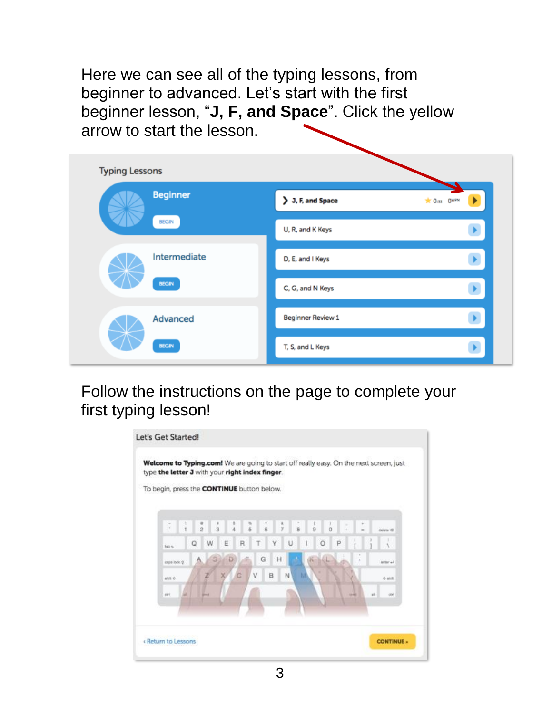Here we can see all of the typing lessons, from beginner to advanced. Let's start with the first beginner lesson, "**J, F, and Space**". Click the yellow arrow to start the lesson.

| <b>Typing Lessons</b> |                 |                          |                                |
|-----------------------|-----------------|--------------------------|--------------------------------|
|                       | <b>Beginner</b> | > J, F, and Space        | $*$ 0/33 0 <sup>WPM</sup><br>▸ |
|                       | <b>BEGIN</b>    | U, R, and K Keys         |                                |
|                       | Intermediate    | D, E, and I Keys         |                                |
|                       | <b>BEGIN</b>    | C, G, and N Keys         |                                |
|                       | Advanced        | <b>Beginner Review 1</b> |                                |
|                       | <b>BEGIN</b>    | T, S, and L Keys         |                                |

Follow the instructions on the page to complete your first typing lesson!

| To begin, press the <b>CONTINUE</b> button below. |              |               |               |               |               |               |                                       |   |    |   |          |               |   |               |             |             |             |
|---------------------------------------------------|--------------|---------------|---------------|---------------|---------------|---------------|---------------------------------------|---|----|---|----------|---------------|---|---------------|-------------|-------------|-------------|
|                                                   | ×            | $\rightarrow$ | $\frac{8}{2}$ |               | $\frac{1}{3}$ | $\frac{1}{4}$ | $\begin{array}{c} n \\ 5 \end{array}$ |   | 67 |   | <b>B</b> | $\frac{1}{9}$ |   | $\frac{1}{0}$ |             | $\sim$<br>Ξ | dealer (B)  |
|                                                   | tids to      |               | Q             | W             | Ε             | R             |                                       | Τ | Υ  | U |          | 4             | O | P             |             |             |             |
|                                                   | case look Q. |               |               |               |               | Ð<br>ψĥ       |                                       | G | H  |   |          |               |   |               |             |             | Archae' and |
|                                                   | atelli O-    |               |               |               |               |               | ٧                                     |   | B  | N |          |               |   |               |             |             | $0$ sites   |
| eri                                               |              |               |               | <b>Street</b> |               |               |                                       |   |    |   |          |               |   |               | <b>CHEE</b> | in.         | <b>GM</b>   |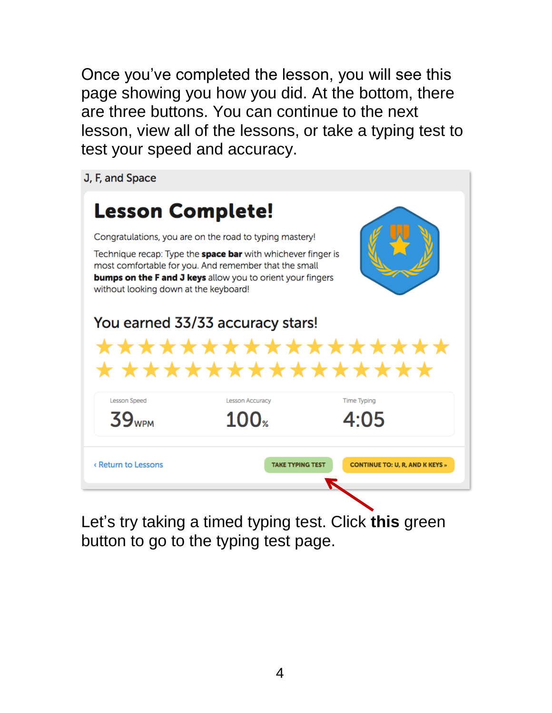Once you've completed the lesson, you will see this page showing you how you did. At the bottom, there are three buttons. You can continue to the next lesson, view all of the lessons, or take a typing test to test your speed and accuracy.

J, F, and Space

![](_page_3_Picture_2.jpeg)

Let's try taking a timed typing test. Click **this** green button to go to the typing test page.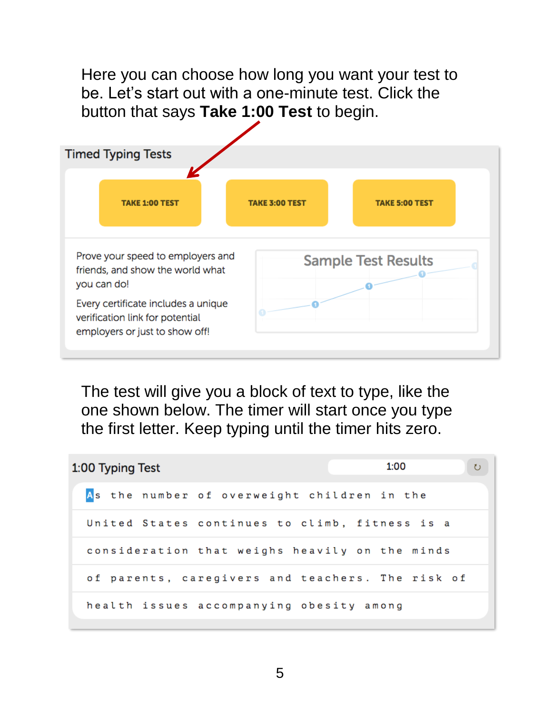Here you can choose how long you want your test to be. Let's start out with a one-minute test. Click the button that says **Take 1:00 Test** to begin.

![](_page_4_Figure_1.jpeg)

The test will give you a block of text to type, like the one shown below. The timer will start once you type the first letter. Keep typing until the timer hits zero.

| 1:00 Typing Test                                 | 1:00<br>$\circ$ |
|--------------------------------------------------|-----------------|
| As the number of overweight children in the      |                 |
| United States continues to climb, fitness is a   |                 |
| consideration that weighs heavily on the minds   |                 |
| of parents, caregivers and teachers. The risk of |                 |
| health issues accompanying obesity among         |                 |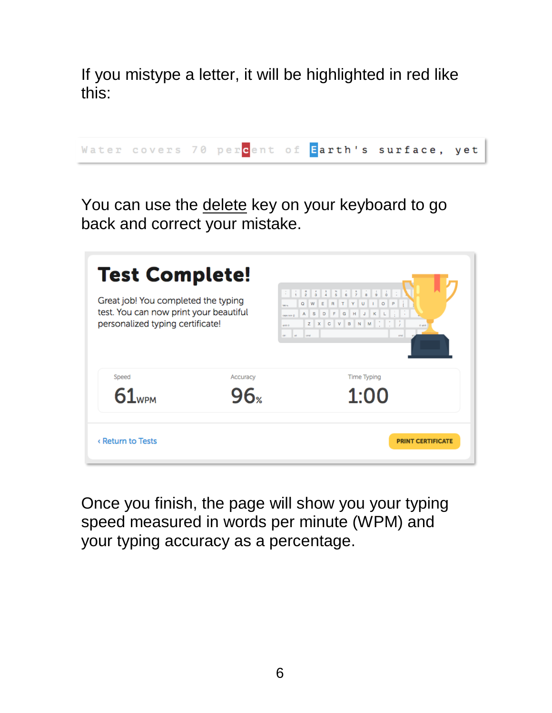If you mistype a letter, it will be highlighted in red like this:

Water covers 70 per<mark>c</mark>ent of **Earth's surface, yet** 

You can use the delete key on your keyboard to go back and correct your mistake.

| <b>Test Complete!</b><br>Great job! You completed the typing<br>test. You can now print your beautiful<br>personalized typing certificate! |          | RTY<br>E<br>$U = I$ $O = P$<br>$\alpha$<br>${\bf W}$<br>÷<br>$G$ $H$<br>$J - K$<br>$\langle \hspace{.1cm}   \hspace{.1cm} \hspace{.1cm} \textrm{S} \hspace{.1cm} \rangle$<br>$\mathsf D$<br>$\mathsf F$<br>$\mathsf L$<br>A<br>GROS TOOK OF<br>Z X C V B N M ( ) ( )<br>extr 6<br><b>O stift</b><br>ctr.<br>A1<br><b>Long</b><br>one |
|--------------------------------------------------------------------------------------------------------------------------------------------|----------|--------------------------------------------------------------------------------------------------------------------------------------------------------------------------------------------------------------------------------------------------------------------------------------------------------------------------------------|
| Speed                                                                                                                                      | Accuracy | <b>Time Typing</b>                                                                                                                                                                                                                                                                                                                   |
| 61 <sub>WPM</sub>                                                                                                                          |          | 1:00                                                                                                                                                                                                                                                                                                                                 |
| <b>K Return to Tests</b>                                                                                                                   |          | <b>PRINT CERTIFICATE</b>                                                                                                                                                                                                                                                                                                             |

Once you finish, the page will show you your typing speed measured in words per minute (WPM) and your typing accuracy as a percentage.